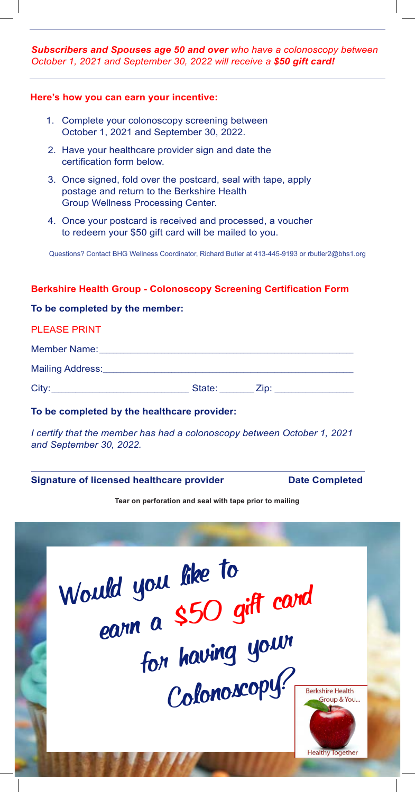*Subscribers and Spouses age 50 and over who have a colonoscopy between Subscribers and Spouses age 50 and over who have a colonoscopy between October 1, 2018 and September 30, 2019 will receive a \$50 gift card! October 1, 2021 and September 30, 2022 will receive a \$50 gift card!*

# **Here's how you can earn your incentive: Here's how you can earn your incentive:**

- 1. Complete your colonoscopy screening between 1. Complete your colonoscopy screening between October 1, 2021 and September 30, 2022.
- 2. Have your healthcare provider sign and date the 2. Have your healthcare provider sign and date the certification form below. certification form below.
- 3. Once signed, fold over the postcard, seal with tape, apply 3. Once signed, fold over the postcard, seal with tape, apply postage and return to the Berkshire Health postage and return to the Berkshire Health Group Wellness Processing Center. Group Wellness Processing Center.
- 4. Once your postcard is received and processed, a voucher 4. Once your postcard is received and processed, a voucher to redeem your \$50 gift card will be mailed to you. to redeem your \$50 gift card will be mailed to you.

Questions? Contact BHG Wellness Coordinator, Richard Butler at 413-445-9193 or rbutler2@bhs1.org

## **Berkshire Health Group - Colonoscopy Screening Certification Form Berkshire Health Group - Colonoscopy Screening Certification Form**

### **To be completed by the member: To be completed by the member:**

#### PLEASE PRINT PLEASE PRINT

Member Name: Member Name: \_\_\_\_\_\_\_\_\_\_\_\_\_\_\_\_\_\_\_\_\_\_\_\_\_\_\_\_\_\_\_\_\_\_\_\_\_\_\_\_\_\_\_\_\_\_\_\_\_\_\_\_\_\_\_\_\_\_\_\_\_\_\_\_\_\_\_\_\_\_\_\_\_\_

Mailing Address: Address:\_\_\_\_\_\_\_\_\_\_\_\_\_\_\_\_\_\_\_\_\_\_\_\_\_\_\_\_\_\_\_\_\_\_\_\_\_\_\_\_\_\_\_\_\_\_\_\_\_\_\_\_\_\_\_\_\_\_\_\_\_\_\_\_\_\_\_\_\_\_\_\_\_

City: State: Zip: City: \_\_\_\_\_\_\_\_\_\_\_\_\_\_\_\_\_\_\_\_\_\_\_\_\_\_\_\_\_\_\_\_\_\_\_\_\_\_\_\_ State: \_\_\_\_\_\_\_\_\_\_ Zip: \_\_\_\_\_\_\_\_\_\_\_\_\_\_\_\_\_\_\_\_\_\_\_

# **To be completed by the healthcare provider: To be completed by the healthcare provider:**

*I certify that the member has had a colonoscopy between October 1, 2018 I certify that the member has had a colonoscopy between October 1, 2021 and September 30, 2019 and September 30, 2022.*

### **Signature of licensed healthcare provider Date Completed Signature of licensed healthcare provider Date Completed**

**Tear on perforation and seal with tape prior to mailing Tear on perforation and seal with tape prior to mailing**



**Healthy Together**